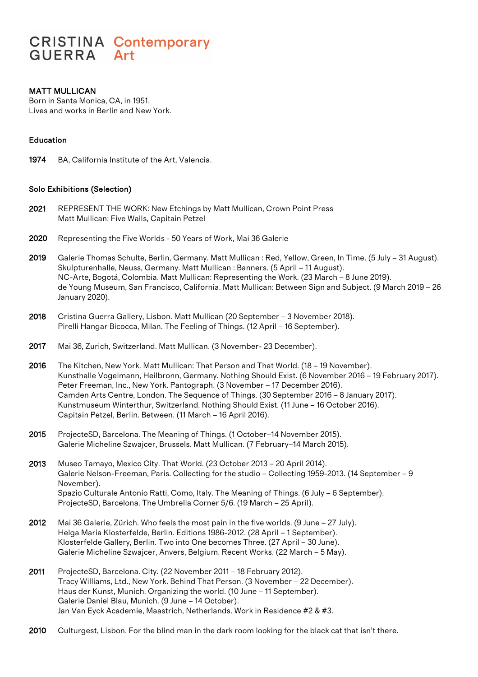# **CRISTINA Contemporary GUERRA** Art

# MATT MULLICAN

Born in Santa Monica, CA, in 1951. Lives and works in Berlin and New York.

# Education

1974 BA, California Institute of the Art, Valencia.

#### Solo Exhibitions (Selection)

- 2021 REPRESENT THE WORK: New Etchings by Matt Mullican, Crown Point Press Matt Mullican: Five Walls, Capitain Petzel
- 2020 Representing the Five Worlds 50 Years of Work, Mai 36 Galerie
- 2019 Galerie Thomas Schulte, Berlin, Germany. Matt Mullican : Red, Yellow, Green, In Time. (5 July 31 August). Skulpturenhalle, Neuss, Germany. Matt Mullican : Banners. (5 April – 11 August). NC-Arte, Bogotá, Colombia. Matt Mullican: Representing the Work. (23 March – 8 June 2019). de Young Museum, San Francisco, California. Matt Mullican: Between Sign and Subject. (9 March 2019 – 26 January 2020).
- 2018 Cristina Guerra Gallery, Lisbon. Matt Mullican (20 September 3 November 2018). Pirelli Hangar Bicocca, Milan. The Feeling of Things. (12 April – 16 September).
- 2017 Mai 36, Zurich, Switzerland. Matt Mullican. (3 November- 23 December).
- 2016 The Kitchen, New York. Matt Mullican: That Person and That World. (18 19 November). Kunsthalle Vogelmann, Heilbronn, Germany. Nothing Should Exist. (6 November 2016 – 19 February 2017). Peter Freeman, Inc., New York. Pantograph. (3 November – 17 December 2016). Camden Arts Centre, London. The Sequence of Things. (30 September 2016 – 8 January 2017). Kunstmuseum Winterthur, Switzerland. Nothing Should Exist. (11 June – 16 October 2016). Capitain Petzel, Berlin. Between. (11 March – 16 April 2016).
- 2015 ProjecteSD, Barcelona. The Meaning of Things. (1 October–14 November 2015). Galerie Micheline Szwajcer, Brussels. Matt Mullican. (7 February–14 March 2015).
- 2013 Museo Tamayo, Mexico City. That World. (23 October 2013 20 April 2014). Galerie Nelson-Freeman, Paris. Collecting for the studio – Collecting 1959-2013. (14 September – 9 November). Spazio Culturale Antonio Ratti, Como, Italy. The Meaning of Things. (6 July – 6 September). ProjecteSD, Barcelona. The Umbrella Corner 5/6. (19 March – 25 April).
- 2012 Mai 36 Galerie, Zürich. Who feels the most pain in the five worlds. (9 June 27 July). Helga Maria Klosterfelde, Berlin. Editions 1986-2012. (28 April – 1 September). Klosterfelde Gallery, Berlin. Two into One becomes Three. (27 April – 30 June). Galerie Micheline Szwajcer, Anvers, Belgium. Recent Works. (22 March – 5 May).
- 2011 ProjecteSD, Barcelona. City. (22 November 2011 18 February 2012). Tracy Williams, Ltd., New York. Behind That Person. (3 November – 22 December). Haus der Kunst, Munich. Organizing the world. (10 June – 11 September). Galerie Daniel Blau, Munich. (9 June – 14 October). Jan Van Eyck Academie, Maastrich, Netherlands. Work in Residence #2 & #3.
- 2010 Culturgest, Lisbon. For the blind man in the dark room looking for the black cat that isn't there.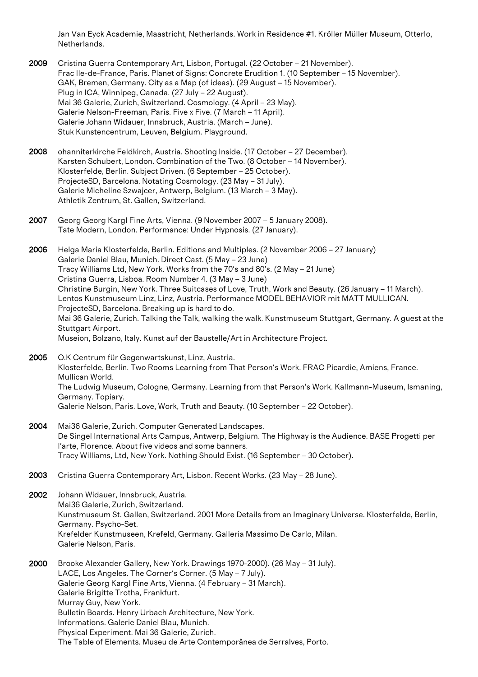Jan Van Eyck Academie, Maastricht, Netherlands. Work in Residence #1. Kröller Müller Museum, Otterlo, Netherlands.

- 2009 Cristina Guerra Contemporary Art, Lisbon, Portugal. (22 October 21 November). Frac Ile-de-France, Paris. Planet of Signs: Concrete Erudition 1. (10 September – 15 November). GAK, Bremen, Germany. City as a Map (of ideas). (29 August – 15 November). Plug in ICA, Winnipeg, Canada. (27 July – 22 August). Mai 36 Galerie, Zurich, Switzerland. Cosmology. (4 April – 23 May). Galerie Nelson-Freeman, Paris. Five x Five. (7 March – 11 April). Galerie Johann Widauer, Innsbruck, Austria. (March – June). Stuk Kunstencentrum, Leuven, Belgium. Playground.
- 2008 ohanniterkirche Feldkirch, Austria. Shooting Inside. (17 October 27 December). Karsten Schubert, London. Combination of the Two. (8 October – 14 November). Klosterfelde, Berlin. Subject Driven. (6 September – 25 October). ProjecteSD, Barcelona. Notating Cosmology. (23 May – 31 July). Galerie Micheline Szwajcer, Antwerp, Belgium. (13 March – 3 May). Athletik Zentrum, St. Gallen, Switzerland.
- 2007 Georg Georg Kargl Fine Arts, Vienna. (9 November 2007 5 January 2008). Tate Modern, London. Performance: Under Hypnosis. (27 January).
- 2006 Helga Maria Klosterfelde, Berlin. Editions and Multiples. (2 November 2006 27 January) Galerie Daniel Blau, Munich. Direct Cast. (5 May – 23 June) Tracy Williams Ltd, New York. Works from the 70's and 80's. (2 May – 21 June) Cristina Guerra, Lisboa. Room Number 4. (3 May – 3 June) Christine Burgin, New York. Three Suitcases of Love, Truth, Work and Beauty. (26 January – 11 March). Lentos Kunstmuseum Linz, Linz, Austria. Performance MODEL BEHAVIOR mit MATT MULLICAN. ProjecteSD, Barcelona. Breaking up is hard to do. Mai 36 Galerie, Zurich. Talking the Talk, walking the walk. Kunstmuseum Stuttgart, Germany. A guest at the Stuttgart Airport. Museion, Bolzano, Italy. Kunst auf der Baustelle/Art in Architecture Project.
- 2005 O.K Centrum für Gegenwartskunst, Linz, Austria. Klosterfelde, Berlin. Two Rooms Learning from That Person's Work. FRAC Picardie, Amiens, France. Mullican World. The Ludwig Museum, Cologne, Germany. Learning from that Person's Work. Kallmann-Museum, Ismaning, Germany. Topiary. Galerie Nelson, Paris. Love, Work, Truth and Beauty. (10 September – 22 October).
- 2004 Mai36 Galerie, Zurich. Computer Generated Landscapes. De Singel International Arts Campus, Antwerp, Belgium. The Highway is the Audience. BASE Progetti per l'arte, Florence. About five videos and some banners. Tracy Williams, Ltd, New York. Nothing Should Exist. (16 September – 30 October).
- 2003 Cristina Guerra Contemporary Art, Lisbon. Recent Works. (23 May 28 June).
- 2002 Johann Widauer, Innsbruck, Austria. Mai36 Galerie, Zurich, Switzerland. Kunstmuseum St. Gallen, Switzerland. 2001 More Details from an Imaginary Universe. Klosterfelde, Berlin, Germany. Psycho-Set. Krefelder Kunstmuseen, Krefeld, Germany. Galleria Massimo De Carlo, Milan. Galerie Nelson, Paris.
- 2000 Brooke Alexander Gallery, New York. Drawings 1970-2000). (26 May 31 July). LACE, Los Angeles. The Corner's Corner. (5 May – 7 July). Galerie Georg Kargl Fine Arts, Vienna. (4 February – 31 March). Galerie Brigitte Trotha, Frankfurt. Murray Guy, New York. Bulletin Boards. Henry Urbach Architecture, New York. Informations. Galerie Daniel Blau, Munich. Physical Experiment. Mai 36 Galerie, Zurich. The Table of Elements. Museu de Arte Contemporânea de Serralves, Porto.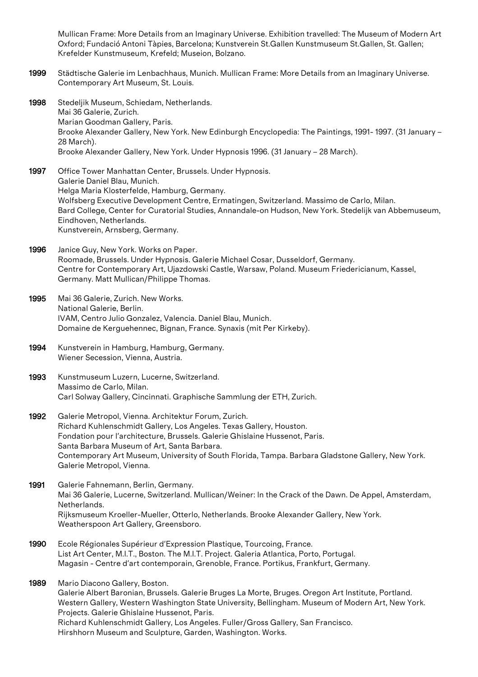Mullican Frame: More Details from an Imaginary Universe. Exhibition travelled: The Museum of Modern Art Oxford; Fundació Antoni Tàpies, Barcelona; Kunstverein St.Gallen Kunstmuseum St.Gallen, St. Gallen; Krefelder Kunstmuseum, Krefeld; Museion, Bolzano.

- 1999 Städtische Galerie im Lenbachhaus, Munich. Mullican Frame: More Details from an Imaginary Universe. Contemporary Art Museum, St. Louis.
- 1998 Stedeljik Museum, Schiedam, Netherlands. Mai 36 Galerie, Zurich. Marian Goodman Gallery, Paris. Brooke Alexander Gallery, New York. New Edinburgh Encyclopedia: The Paintings, 1991- 1997. (31 January – 28 March). Brooke Alexander Gallery, New York. Under Hypnosis 1996. (31 January – 28 March).
- 1997 Office Tower Manhattan Center, Brussels. Under Hypnosis. Galerie Daniel Blau, Munich. Helga Maria Klosterfelde, Hamburg, Germany. Wolfsberg Executive Development Centre, Ermatingen, Switzerland. Massimo de Carlo, Milan. Bard College, Center for Curatorial Studies, Annandale-on Hudson, New York. Stedelijk van Abbemuseum, Eindhoven, Netherlands. Kunstverein, Arnsberg, Germany.
- 1996 Janice Guy, New York. Works on Paper. Roomade, Brussels. Under Hypnosis. Galerie Michael Cosar, Dusseldorf, Germany. Centre for Contemporary Art, Ujazdowski Castle, Warsaw, Poland. Museum Friedericianum, Kassel, Germany. Matt Mullican/Philippe Thomas.
- 1995 Mai 36 Galerie, Zurich. New Works. National Galerie, Berlin. IVAM, Centro Julio Gonzalez, Valencia. Daniel Blau, Munich. Domaine de Kerguehennec, Bignan, France. Synaxis (mit Per Kirkeby).
- 1994 Kunstverein in Hamburg, Hamburg, Germany. Wiener Secession, Vienna, Austria.
- 1993 Kunstmuseum Luzern, Lucerne, Switzerland. Massimo de Carlo, Milan. Carl Solway Gallery, Cincinnati. Graphische Sammlung der ETH, Zurich.
- 1992 Galerie Metropol, Vienna. Architektur Forum, Zurich. Richard Kuhlenschmidt Gallery, Los Angeles. Texas Gallery, Houston. Fondation pour l'architecture, Brussels. Galerie Ghislaine Hussenot, Paris. Santa Barbara Museum of Art, Santa Barbara. Contemporary Art Museum, University of South Florida, Tampa. Barbara Gladstone Gallery, New York. Galerie Metropol, Vienna.
- 1991 Galerie Fahnemann, Berlin, Germany. Mai 36 Galerie, Lucerne, Switzerland. Mullican/Weiner: In the Crack of the Dawn. De Appel, Amsterdam, Netherlands. Rijksmuseum Kroeller-Mueller, Otterlo, Netherlands. Brooke Alexander Gallery, New York. Weatherspoon Art Gallery, Greensboro.
- 1990 Ecole Régionales Supérieur d'Expression Plastique, Tourcoing, France. List Art Center, M.I.T., Boston. The M.I.T. Project. Galeria Atlantica, Porto, Portugal. Magasin - Centre d'art contemporain, Grenoble, France. Portikus, Frankfurt, Germany.
- 1989 Mario Diacono Gallery, Boston. Galerie Albert Baronian, Brussels. Galerie Bruges La Morte, Bruges. Oregon Art Institute, Portland. Western Gallery, Western Washington State University, Bellingham. Museum of Modern Art, New York. Projects. Galerie Ghislaine Hussenot, Paris. Richard Kuhlenschmidt Gallery, Los Angeles. Fuller/Gross Gallery, San Francisco. Hirshhorn Museum and Sculpture, Garden, Washington. Works.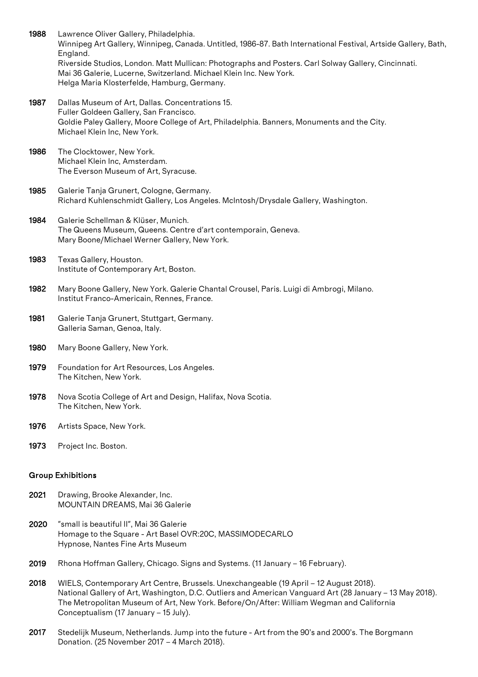1988 Lawrence Oliver Gallery, Philadelphia. Winnipeg Art Gallery, Winnipeg, Canada. Untitled, 1986-87. Bath International Festival, Artside Gallery, Bath, England. Riverside Studios, London. Matt Mullican: Photographs and Posters. Carl Solway Gallery, Cincinnati. Mai 36 Galerie, Lucerne, Switzerland. Michael Klein Inc. New York. Helga Maria Klosterfelde, Hamburg, Germany.

1987 Dallas Museum of Art, Dallas. Concentrations 15. Fuller Goldeen Gallery, San Francisco. Goldie Paley Gallery, Moore College of Art, Philadelphia. Banners, Monuments and the City. Michael Klein Inc, New York.

1986 The Clocktower, New York. Michael Klein Inc, Amsterdam. The Everson Museum of Art, Syracuse.

1985 Galerie Tanja Grunert, Cologne, Germany. Richard Kuhlenschmidt Gallery, Los Angeles. McIntosh/Drysdale Gallery, Washington.

1984 Galerie Schellman & Klüser, Munich. The Queens Museum, Queens. Centre d'art contemporain, Geneva. Mary Boone/Michael Werner Gallery, New York.

1983 Texas Gallery, Houston. Institute of Contemporary Art, Boston.

- 1982 Mary Boone Gallery, New York. Galerie Chantal Crousel, Paris. Luigi di Ambrogi, Milano. Institut Franco-Americain, Rennes, France.
- 1981 Galerie Tanja Grunert, Stuttgart, Germany. Galleria Saman, Genoa, Italy.
- 1980 Mary Boone Gallery, New York.
- 1979 Foundation for Art Resources, Los Angeles. The Kitchen, New York.
- 1978 Nova Scotia College of Art and Design, Halifax, Nova Scotia. The Kitchen, New York.
- 1976 Artists Space, New York.
- 1973 Project Inc. Boston.

#### Group Exhibitions

- 2021 Drawing, Brooke Alexander, Inc. MOUNTAIN DREAMS, Mai 36 Galerie
- 2020 "small is beautiful II", Mai 36 Galerie Homage to the Square - Art Basel OVR:20C, MASSIMODECARLO Hypnose, Nantes Fine Arts Museum
- 2019 Rhona Hoffman Gallery, Chicago. Signs and Systems. (11 January 16 February).
- 2018 WIELS, Contemporary Art Centre, Brussels. Unexchangeable (19 April 12 August 2018). National Gallery of Art, Washington, D.C. Outliers and American Vanguard Art (28 January – 13 May 2018). The Metropolitan Museum of Art, New York. Before/On/After: William Wegman and California Conceptualism (17 January – 15 July).
- 2017 Stedelijk Museum, Netherlands. Jump into the future Art from the 90's and 2000's. The Borgmann Donation. (25 November 2017 – 4 March 2018).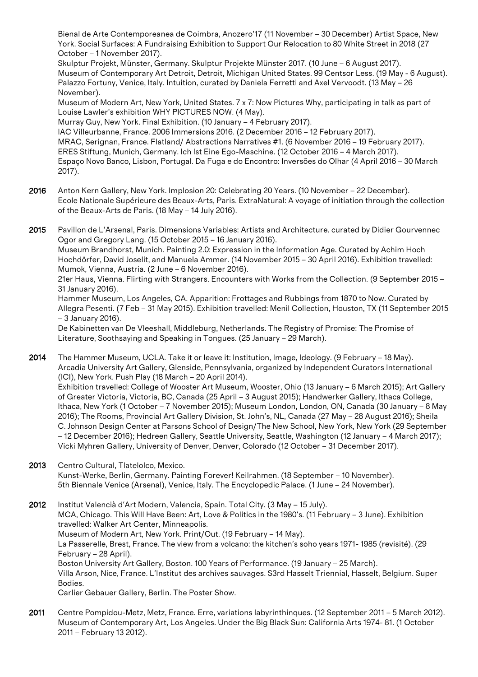Bienal de Arte Contemporeanea de Coimbra, Anozero'17 (11 November – 30 December) Artist Space, New York. Social Surfaces: A Fundraising Exhibition to Support Our Relocation to 80 White Street in 2018 (27 October – 1 November 2017).

Skulptur Projekt, Münster, Germany. Skulptur Projekte Münster 2017. (10 June – 6 August 2017). Museum of Contemporary Art Detroit, Detroit, Michigan United States. 99 Centsor Less. (19 May - 6 August). Palazzo Fortuny, Venice, Italy. Intuition, curated by Daniela Ferretti and Axel Vervoodt. (13 May – 26 November).

Museum of Modern Art, New York, United States. 7 x 7: Now Pictures Why, participating in talk as part of Louise Lawler's exhibition WHY PICTURES NOW. (4 May).

Murray Guy, New York. Final Exhibition. (10 January – 4 February 2017).

IAC Villeurbanne, France. 2006 Immersions 2016. (2 December 2016 – 12 February 2017). MRAC, Serignan, France. Flatland/ Abstractions Narratives #1. (6 November 2016 – 19 February 2017). ERES Stiftung, Munich, Germany. Ich Ist Eine Ego-Maschine. (12 October 2016 – 4 March 2017). Espaço Novo Banco, Lisbon, Portugal. Da Fuga e do Encontro: Inversões do Olhar (4 April 2016 – 30 March 2017).

- 2016 Anton Kern Gallery, New York. Implosion 20: Celebrating 20 Years. (10 November 22 December). Ecole Nationale Supérieure des Beaux-Arts, Paris. ExtraNatural: A voyage of initiation through the collection of the Beaux-Arts de Paris. (18 May – 14 July 2016).
- 2015 Pavillon de L'Arsenal, Paris. Dimensions Variables: Artists and Architecture. curated by Didier Gourvennec Ogor and Gregory Lang. (15 October 2015 – 16 January 2016). Museum Brandhorst, Munich. Painting 2.0: Expression in the Information Age. Curated by Achim Hoch Hochdörfer, David Joselit, and Manuela Ammer. (14 November 2015 – 30 April 2016). Exhibition travelled: Mumok, Vienna, Austria. (2 June – 6 November 2016). 21er Haus, Vienna. Flirting with Strangers. Encounters with Works from the Collection. (9 September 2015 –

31 January 2016). Hammer Museum, Los Angeles, CA. Apparition: Frottages and Rubbings from 1870 to Now. Curated by Allegra Pesenti. (7 Feb – 31 May 2015). Exhibition travelled: Menil Collection, Houston, TX (11 September 2015 – 3 January 2016).

De Kabinetten van De Vleeshall, Middleburg, Netherlands. The Registry of Promise: The Promise of Literature, Soothsaying and Speaking in Tongues. (25 January – 29 March).

2014 The Hammer Museum, UCLA. Take it or leave it: Institution, Image, Ideology. (9 February – 18 May). Arcadia University Art Gallery, Glenside, Pennsylvania, organized by Independent Curators International (ICI), New York. Push Play (18 March – 20 April 2014). Exhibition travelled: College of Wooster Art Museum, Wooster, Ohio (13 January – 6 March 2015); Art Gallery of Greater Victoria, Victoria, BC, Canada (25 April – 3 August 2015); Handwerker Gallery, Ithaca College, Ithaca, New York (1 October – 7 November 2015); Museum London, London, ON, Canada (30 January – 8 May 2016); The Rooms, Provincial Art Gallery Division, St. John's, NL, Canada (27 May – 28 August 2016); Sheila C. Johnson Design Center at Parsons School of Design/The New School, New York, New York (29 September – 12 December 2016); Hedreen Gallery, Seattle University, Seattle, Washington (12 January – 4 March 2017); Vicki Myhren Gallery, University of Denver, Denver, Colorado (12 October – 31 December 2017).

- 2013 Centro Cultural, Tlatelolco, Mexico. Kunst-Werke, Berlin, Germany. Painting Forever! Keilrahmen. (18 September – 10 November). 5th Biennale Venice (Arsenal), Venice, Italy. The Encyclopedic Palace. (1 June – 24 November).
- 2012 Institut Valencià d'Art Modern, Valencia, Spain. Total City. (3 May 15 July). MCA, Chicago. This Will Have Been: Art, Love & Politics in the 1980's. (11 February – 3 June). Exhibition travelled: Walker Art Center, Minneapolis. Museum of Modern Art, New York. Print/Out. (19 February – 14 May). La Passerelle, Brest, France. The view from a volcano: the kitchen's soho years 1971- 1985 (revisité). (29 February – 28 April). Boston University Art Gallery, Boston. 100 Years of Performance. (19 January – 25 March). Villa Arson, Nice, France. L'Institut des archives sauvages. S3rd Hasselt Triennial, Hasselt, Belgium. Super Bodies.

Carlier Gebauer Gallery, Berlin. The Poster Show.

2011 Centre Pompidou-Metz, Metz, France. Erre, variations labyrinthinques. (12 September 2011 – 5 March 2012). Museum of Contemporary Art, Los Angeles. Under the Big Black Sun: California Arts 1974- 81. (1 October 2011 – February 13 2012).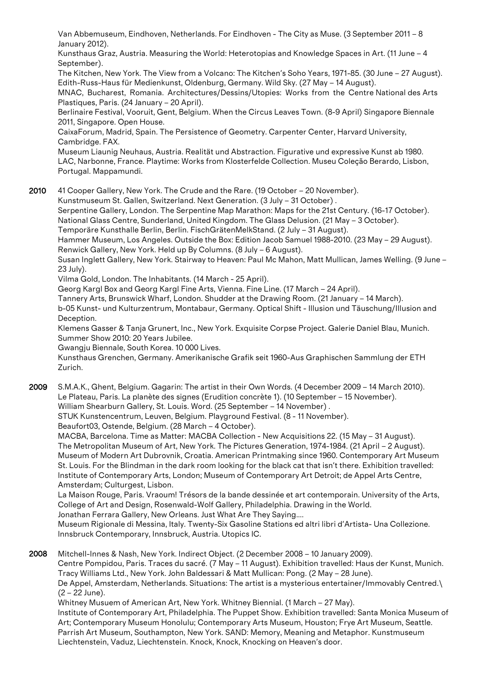Van Abbemuseum, Eindhoven, Netherlands. For Eindhoven - The City as Muse. (3 September 2011 – 8 January 2012).

Kunsthaus Graz, Austria. Measuring the World: Heterotopias and Knowledge Spaces in Art. (11 June – 4 September).

The Kitchen, New York. The View from a Volcano: The Kitchen's Soho Years, 1971-85. (30 June – 27 August). Edith-Russ-Haus für Medienkunst, Oldenburg, Germany. Wild Sky. (27 May – 14 August).

MNAC, Bucharest, Romania. Architectures/Dessins/Utopies: Works from the Centre National des Arts Plastiques, Paris. (24 January – 20 April).

Berlinaire Festival, Vooruit, Gent, Belgium. When the Circus Leaves Town. (8-9 April) Singapore Biennale 2011, Singapore. Open House.

CaixaForum, Madrid, Spain. The Persistence of Geometry. Carpenter Center, Harvard University, Cambridge. FAX.

Museum Liaunig Neuhaus, Austria. Realität und Abstraction. Figurative und expressive Kunst ab 1980. LAC, Narbonne, France. Playtime: Works from Klosterfelde Collection. Museu Coleção Berardo, Lisbon, Portugal. Mappamundi.

2010 41 Cooper Gallery, New York. The Crude and the Rare. (19 October – 20 November).

Kunstmuseum St. Gallen, Switzerland. Next Generation. (3 July – 31 October) .

Serpentine Gallery, London. The Serpentine Map Marathon: Maps for the 21st Century. (16-17 October). National Glass Centre, Sunderland, United Kingdom. The Glass Delusion. (21 May – 3 October). Temporäre Kunsthalle Berlin, Berlin. FischGrätenMelkStand. (2 July – 31 August).

Hammer Museum, Los Angeles. Outside the Box: Edition Jacob Samuel 1988-2010. (23 May – 29 August). Renwick Gallery, New York. Held up By Columns. (8 July – 6 August).

Susan Inglett Gallery, New York. Stairway to Heaven: Paul Mc Mahon, Matt Mullican, James Welling. (9 June – 23 July).

Vilma Gold, London. The Inhabitants. (14 March - 25 April).

Georg Kargl Box and Georg Kargl Fine Arts, Vienna. Fine Line. (17 March – 24 April).

Tannery Arts, Brunswick Wharf, London. Shudder at the Drawing Room. (21 January – 14 March).

b-05 Kunst- und Kulturzentrum, Montabaur, Germany. Optical Shift - Illusion und Täuschung/Illusion and Deception.

Klemens Gasser & Tanja Grunert, Inc., New York. Exquisite Corpse Project. Galerie Daniel Blau, Munich. Summer Show 2010: 20 Years Jubilee.

Gwangju Biennale, South Korea. 10 000 Lives.

Kunsthaus Grenchen, Germany. Amerikanische Grafik seit 1960-Aus Graphischen Sammlung der ETH Zurich.

2009 S.M.A.K., Ghent, Belgium. Gagarin: The artist in their Own Words. (4 December 2009 – 14 March 2010). Le Plateau, Paris. La planète des signes (Erudition concrète 1). (10 September – 15 November). William Shearburn Gallery, St. Louis. Word. (25 September – 14 November).

STUK Kunstencentrum, Leuven, Belgium. Playground Festival. (8 - 11 November).

Beaufort03, Ostende, Belgium. (28 March – 4 October).

MACBA, Barcelona. Time as Matter: MACBA Collection - New Acquisitions 22. (15 May – 31 August). The Metropolitan Museum of Art, New York. The Pictures Generation, 1974-1984. (21 April – 2 August). Museum of Modern Art Dubrovnik, Croatia. American Printmaking since 1960. Contemporary Art Museum St. Louis. For the Blindman in the dark room looking for the black cat that isn't there. Exhibition travelled: Institute of Contemporary Arts, London; Museum of Contemporary Art Detroit; de Appel Arts Centre, Amsterdam; Culturgest, Lisbon.

La Maison Rouge, Paris. Vraoum! Trésors de la bande dessinée et art contemporain. University of the Arts, College of Art and Design, Rosenwald-Wolf Gallery, Philadelphia. Drawing in the World.

Jonathan Ferrara Gallery, New Orleans. Just What Are They Saying....

Museum Rigionale di Messina, Italy. Twenty-Six Gasoline Stations ed altri libri d'Artista- Una Collezione. Innsbruck Contemporary, Innsbruck, Austria. Utopics IC.

2008 Mitchell-Innes & Nash, New York. Indirect Object. (2 December 2008 – 10 January 2009).

Centre Pompidou, Paris. Traces du sacré. (7 May – 11 August). Exhibition travelled: Haus der Kunst, Munich. Tracy Williams Ltd., New York. John Baldessari & Matt Mullican: Pong. (2 May – 28 June).

De Appel, Amsterdam, Netherlands. Situations: The artist is a mysterious entertainer/Immovably Centred.\ (2 – 22 June).

Whitney Musuem of American Art, New York. Whitney Biennial. (1 March – 27 May). Institute of Contemporary Art, Philadelphia. The Puppet Show. Exhibition travelled: Santa Monica Museum of Art; Contemporary Museum Honolulu; Contemporary Arts Museum, Houston; Frye Art Museum, Seattle. Parrish Art Museum, Southampton, New York. SAND: Memory, Meaning and Metaphor. Kunstmuseum Liechtenstein, Vaduz, Liechtenstein. Knock, Knock, Knocking on Heaven's door.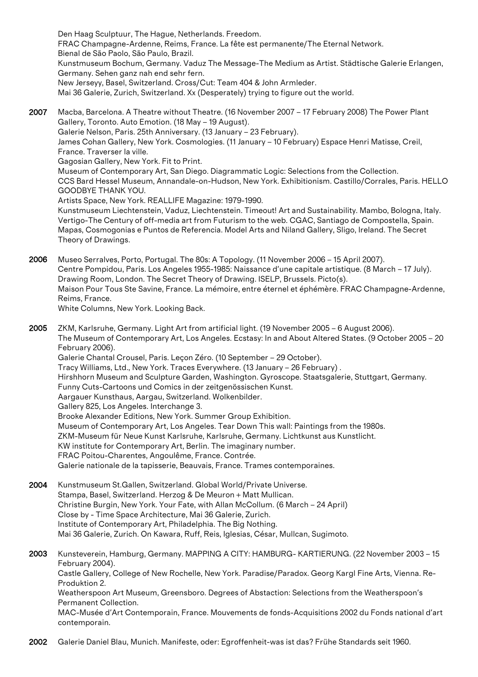Den Haag Sculptuur, The Hague, Netherlands. Freedom. FRAC Champagne-Ardenne, Reims, France. La fête est permanente/The Eternal Network. Bienal de São Paolo, São Paulo, Brazil. Kunstmuseum Bochum, Germany. Vaduz The Message-The Medium as Artist. Städtische Galerie Erlangen, Germany. Sehen ganz nah end sehr fern. New Jerseyy, Basel, Switzerland. Cross/Cut: Team 404 & John Armleder. Mai 36 Galerie, Zurich, Switzerland. Xx (Desperately) trying to figure out the world. 2007 Macba, Barcelona. A Theatre without Theatre. (16 November 2007 – 17 February 2008) The Power Plant Gallery, Toronto. Auto Emotion. (18 May – 19 August).

Galerie Nelson, Paris. 25th Anniversary. (13 January – 23 February). James Cohan Gallery, New York. Cosmologies. (11 January – 10 February) Espace Henri Matisse, Creil, France. Traverser la ville. Gagosian Gallery, New York. Fit to Print. Museum of Contemporary Art, San Diego. Diagrammatic Logic: Selections from the Collection. CCS Bard Hessel Museum, Annandale-on-Hudson, New York. Exhibitionism. Castillo/Corrales, Paris. HELLO GOODBYE THANK YOU. Artists Space, New York. REALLIFE Magazine: 1979-1990. Kunstmuseum Liechtenstein, Vaduz, Liechtenstein. Timeout! Art and Sustainability. Mambo, Bologna, Italy. Vertigo-The Century of off-media art from Futurism to the web. CGAC, Santiago de Compostella, Spain. Mapas, Cosmogonias e Puntos de Referencia. Model Arts and Niland Gallery, Sligo, Ireland. The Secret Theory of Drawings.

2006 Museo Serralves, Porto, Portugal. The 80s: A Topology. (11 November 2006 – 15 April 2007). Centre Pompidou, Paris. Los Angeles 1955-1985: Naissance d'une capitale artistique. (8 March – 17 July). Drawing Room, London. The Secret Theory of Drawing. ISELP, Brussels. Picto(s). Maison Pour Tous Ste Savine, France. La mémoire, entre éternel et éphémère. FRAC Champagne-Ardenne, Reims, France.

White Columns, New York. Looking Back.

- 2005 ZKM, Karlsruhe, Germany. Light Art from artificial light. (19 November 2005 6 August 2006). The Museum of Contemporary Art, Los Angeles. Ecstasy: In and About Altered States. (9 October 2005 – 20 February 2006). Galerie Chantal Crousel, Paris. Leçon Zéro. (10 September – 29 October). Tracy Williams, Ltd., New York. Traces Everywhere. (13 January – 26 February) . Hirshhorn Museum and Sculpture Garden, Washington. Gyroscope. Staatsgalerie, Stuttgart, Germany. Funny Cuts-Cartoons und Comics in der zeitgenössischen Kunst. Aargauer Kunsthaus, Aargau, Switzerland. Wolkenbilder. Gallery 825, Los Angeles. Interchange 3. Brooke Alexander Editions, New York. Summer Group Exhibition. Museum of Contemporary Art, Los Angeles. Tear Down This wall: Paintings from the 1980s. ZKM-Museum für Neue Kunst Karlsruhe, Karlsruhe, Germany. Lichtkunst aus Kunstlicht. KW institute for Contemporary Art, Berlin. The imaginary number. FRAC Poitou-Charentes, Angoulême, France. Contrée. Galerie nationale de la tapisserie, Beauvais, France. Trames contemporaines.
- 2004 Kunstmuseum St.Gallen, Switzerland. Global World/Private Universe. Stampa, Basel, Switzerland. Herzog & De Meuron + Matt Mullican. Christine Burgin, New York. Your Fate, with Allan McCollum. (6 March – 24 April) Close by - Time Space Architecture, Mai 36 Galerie, Zurich. Institute of Contemporary Art, Philadelphia. The Big Nothing. Mai 36 Galerie, Zurich. On Kawara, Ruff, Reis, Iglesias, César, Mullcan, Sugimoto.
- 2003 Kunsteverein, Hamburg, Germany. MAPPING A CITY: HAMBURG- KARTIERUNG. (22 November 2003 15 February 2004). Castle Gallery, College of New Rochelle, New York. Paradise/Paradox. Georg Kargl Fine Arts, Vienna. Re-Produktion 2. Weatherspoon Art Museum, Greensboro. Degrees of Abstaction: Selections from the Weatherspoon's Permanent Collection. MAC-Musée d'Art Contemporain, France. Mouvements de fonds-Acquisitions 2002 du Fonds national d'art contemporain.
- 2002 Galerie Daniel Blau, Munich. Manifeste, oder: Egroffenheit-was ist das? Frühe Standards seit 1960.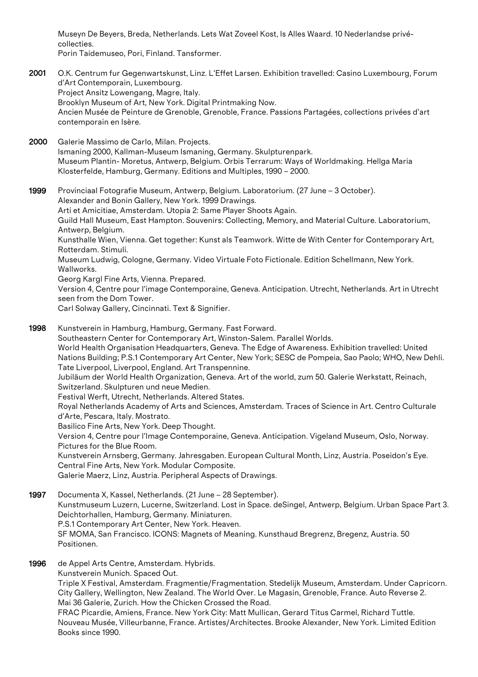Museyn De Beyers, Breda, Netherlands. Lets Wat Zoveel Kost, Is Alles Waard. 10 Nederlandse privécollecties. Porin Taidemuseo, Pori, Finland. Tansformer.

- 2001 O.K. Centrum fur Gegenwartskunst, Linz. L'Effet Larsen. Exhibition travelled: Casino Luxembourg, Forum d'Art Contemporain, Luxembourg. Project Ansitz Lowengang, Magre, Italy. Brooklyn Museum of Art, New York. Digital Printmaking Now. Ancien Musée de Peinture de Grenoble, Grenoble, France. Passions Partagées, collections privées d'art contemporain en Isère.
- 2000 Galerie Massimo de Carlo, Milan. Projects. Ismaning 2000, Kallman-Museum Ismaning, Germany. Skulpturenpark. Museum Plantin- Moretus, Antwerp, Belgium. Orbis Terrarum: Ways of Worldmaking. Hellga Maria Klosterfelde, Hamburg, Germany. Editions and Multiples, 1990 – 2000.
- 1999 Provinciaal Fotografie Museum, Antwerp, Belgium. Laboratorium. (27 June 3 October). Alexander and Bonin Gallery, New York. 1999 Drawings. Arti et Amicitiae, Amsterdam. Utopia 2: Same Player Shoots Again. Guild Hall Museum, East Hampton. Souvenirs: Collecting, Memory, and Material Culture. Laboratorium, Antwerp, Belgium. Kunsthalle Wien, Vienna. Get together: Kunst als Teamwork. Witte de With Center for Contemporary Art, Rotterdam. Stimuli. Museum Ludwig, Cologne, Germany. Video Virtuale Foto Fictionale. Edition Schellmann, New York. Wallworks. Georg Kargl Fine Arts, Vienna. Prepared. Version 4, Centre pour l'image Contemporaine, Geneva. Anticipation. Utrecht, Netherlands. Art in Utrecht seen from the Dom Tower.

Carl Solway Gallery, Cincinnati. Text & Signifier.

- 1998 Kunstverein in Hamburg, Hamburg, Germany. Fast Forward. Southeastern Center for Contemporary Art, Winston-Salem. Parallel Worlds. World Health Organisation Headquarters, Geneva. The Edge of Awareness. Exhibition travelled: United Nations Building; P.S.1 Contemporary Art Center, New York; SESC de Pompeia, Sao Paolo; WHO, New Dehli. Tate Liverpool, Liverpool, England. Art Transpennine. Jubiläum der World Health Organization, Geneva. Art of the world, zum 50. Galerie Werkstatt, Reinach, Switzerland. Skulpturen und neue Medien. Festival Werft, Utrecht, Netherlands. Altered States. Royal Netherlands Academy of Arts and Sciences, Amsterdam. Traces of Science in Art. Centro Culturale d'Arte, Pescara, Italy. Mostrato. Basilico Fine Arts, New York. Deep Thought. Version 4, Centre pour l'Image Contemporaine, Geneva. Anticipation. Vigeland Museum, Oslo, Norway. Pictures for the Blue Room. Kunstverein Arnsberg, Germany. Jahresgaben. European Cultural Month, Linz, Austria. Poseidon's Eye. Central Fine Arts, New York. Modular Composite. Galerie Maerz, Linz, Austria. Peripheral Aspects of Drawings.
- 1997 Documenta X, Kassel, Netherlands. (21 June 28 September). Kunstmuseum Luzern, Lucerne, Switzerland. Lost in Space. deSingel, Antwerp, Belgium. Urban Space Part 3. Deichtorhallen, Hamburg, Germany. Miniaturen. P.S.1 Contemporary Art Center, New York. Heaven. SF MOMA, San Francisco. ICONS: Magnets of Meaning. Kunsthaud Bregrenz, Bregenz, Austria. 50 Positionen.
- 1996 de Appel Arts Centre, Amsterdam. Hybrids. Kunstverein Munich. Spaced Out. Triple X Festival, Amsterdam. Fragmentie/Fragmentation. Stedelijk Museum, Amsterdam. Under Capricorn. City Gallery, Wellington, New Zealand. The World Over. Le Magasin, Grenoble, France. Auto Reverse 2. Mai 36 Galerie, Zurich. How the Chicken Crossed the Road.

FRAC Picardie, Amiens, France. New York City: Matt Mullican, Gerard Titus Carmel, Richard Tuttle. Nouveau Musée, Villeurbanne, France. Artistes/Architectes. Brooke Alexander, New York. Limited Edition Books since 1990.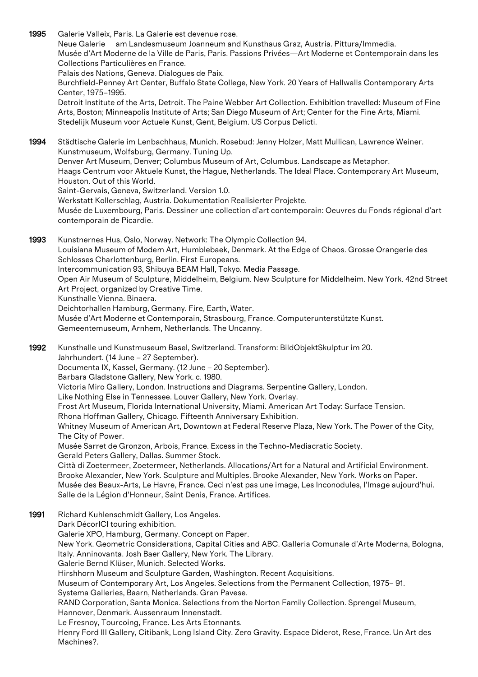1995 Galerie Valleix, Paris. La Galerie est devenue rose. Neue Galerie am Landesmuseum Joanneum and Kunsthaus Graz, Austria. Pittura/lmmedia. Musée d'Art Moderne de la Ville de Paris, Paris. Passions Privées—Art Moderne et Contemporain dans les Collections Particulières en France. Palais des Nations, Geneva. Dialogues de Paix. Burchfield-Penney Art Center, Buffalo State College, New York. 20 Years of Hallwalls Contemporary Arts Center, 1975–1995. Detroit Institute of the Arts, Detroit. The Paine Webber Art Collection. Exhibition travelled: Museum of Fine Arts, Boston; Minneapolis Institute of Arts; San Diego Museum of Art; Center for the Fine Arts, Miami. Stedelijk Museum voor Actuele Kunst, Gent, Belgium. US Corpus Delicti. 1994 Städtische Galerie im Lenbachhaus, Munich. Rosebud: Jenny Holzer, Matt Mullican, Lawrence Weiner. Kunstmuseum, Wolfsburg, Germany. Tuning Up. Denver Art Museum, Denver; Columbus Museum of Art, Columbus. Landscape as Metaphor. Haags Centrum voor Aktuele Kunst, the Hague, Netherlands. The Ideal Place. Contemporary Art Museum, Houston. Out of this World. Saint-Gervais, Geneva, Switzerland. Version 1.0. Werkstatt Kollerschlag, Austria. Dokumentation Realisierter Projekte. Musée de Luxembourg, Paris. Dessiner une collection d'art contemporain: Oeuvres du Fonds régional d'art contemporain de Picardie. 1993 Kunstnernes Hus, Oslo, Norway. Network: The Olympic Collection 94. Louisiana Museum of Modem Art, Humblebaek, Denmark. At the Edge of Chaos. Grosse Orangerie des Schlosses Charlottenburg, Berlin. First Europeans. Intercommunication 93, Shibuya BEAM Hall, Tokyo. Media Passage. Open Air Museum of Sculpture, Middelheim, Belgium. New Sculpture for Middelheim. New York. 42nd Street Art Project, organized by Creative Time. Kunsthalle Vienna. Binaera. Deichtorhallen Hamburg, Germany. Fire, Earth, Water. Musée d'Art Moderne et Contemporain, Strasbourg, France. Computerunterstützte Kunst. Gemeentemuseum, Arnhem, Netherlands. The Uncanny. 1992 Kunsthalle und Kunstmuseum Basel, Switzerland. Transform: BildObjektSkulptur im 20. Jahrhundert. (14 June – 27 September). Documenta IX, Kassel, Germany. (12 June – 20 September). Barbara Gladstone Gallery, New York. c. 1980. Victoria Miro Gallery, London. Instructions and Diagrams. Serpentine Gallery, London. Like Nothing Else in Tennessee. Louver Gallery, New York. Overlay. Frost Art Museum, Florida International University, Miami. American Art Today: Surface Tension. Rhona Hoffman Gallery, Chicago. Fifteenth Anniversary Exhibition. Whitney Museum of American Art, Downtown at Federal Reserve Plaza, New York. The Power of the City, The City of Power. Musée Sarret de Gronzon, Arbois, France. Excess in the Techno-Mediacratic Society. Gerald Peters Gallery, Dallas. Summer Stock. Città di Zoetermeer, Zoetermeer, Netherlands. Allocations/Art for a Natural and Artificial Environment. Brooke Alexander, New York. Sculpture and Multiples. Brooke Alexander, New York. Works on Paper. Musée des Beaux-Arts, Le Havre, France. Ceci n'est pas une image, Les Inconodules, l'Image aujourd'hui. Salle de la Légion d'Honneur, Saint Denis, France. Artifices. 1991 Richard Kuhlenschmidt Gallery, Los Angeles. Dark DécorICI touring exhibition. Galerie XPO, Hamburg, Germany. Concept on Paper. New York. Geometric Considerations, Capital Cities and ABC. Galleria Comunale d'Arte Moderna, Bologna,

Italy. Anninovanta. Josh Baer Gallery, New York. The Library.

Galerie Bernd Klüser, Munich. Selected Works.

Hirshhorn Museum and Sculpture Garden, Washington. Recent Acquisitions.

Museum of Contemporary Art, Los Angeles. Selections from the Permanent Collection, 1975– 91.

Systema Galleries, Baarn, Netherlands. Gran Pavese.

RAND Corporation, Santa Monica. Selections from the Norton Family Collection. Sprengel Museum, Hannover, Denmark. Aussenraum Innenstadt.

Le Fresnoy, Tourcoing, France. Les Arts Etonnants.

Henry Ford III Gallery, Citibank, Long Island City. Zero Gravity. Espace Diderot, Rese, France. Un Art des Machines?.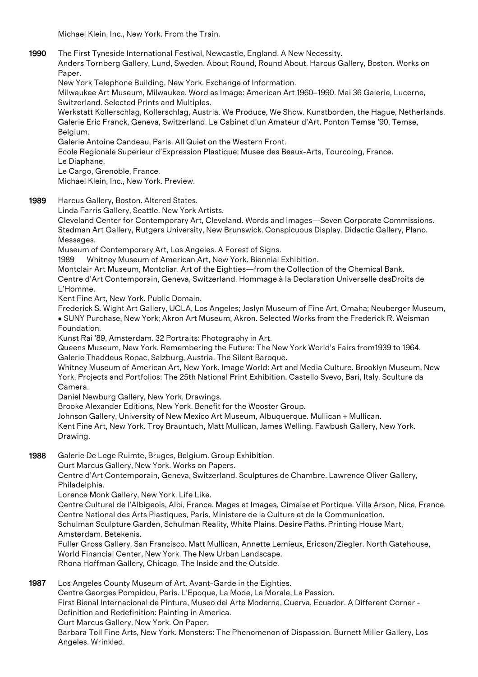Michael Klein, Inc., New York. From the Train.

1990 The First Tyneside International Festival, Newcastle, England. A New Necessity.

Anders Tornberg Gallery, Lund, Sweden. About Round, Round About. Harcus Gallery, Boston. Works on Paper.

New York Telephone Building, New York. Exchange of Information.

Milwaukee Art Museum, Milwaukee. Word as Image: American Art 1960–1990. Mai 36 Galerie, Lucerne, Switzerland. Selected Prints and Multiples.

Werkstatt Kollerschlag, Kollerschlag, Austria. We Produce, We Show. Kunstborden, the Hague, Netherlands. Galerie Eric Franck, Geneva, Switzerland. Le Cabinet d'un Amateur d'Art. Ponton Temse '90, Temse, Belgium.

Galerie Antoine Candeau, Paris. All Quiet on the Western Front.

Ecole Regionale Superieur d'Expression Plastique; Musee des Beaux-Arts, Tourcoing, France.

Le Diaphane.

Le Cargo, Grenoble, France.

Michael Klein, Inc., New York. Preview.

1989 Harcus Gallery, Boston, Altered States.

Linda Farris Gallery, Seattle. New York Artists.

Cleveland Center for Contemporary Art, Cleveland. Words and Images—Seven Corporate Commissions. Stedman Art Gallery, Rutgers University, New Brunswick. Conspicuous Display. Didactic Gallery, Plano. Messages.

Museum of Contemporary Art, Los Angeles. A Forest of Signs.

1989 Whitney Museum of American Art, New York. Biennial Exhibition.

Montclair Art Museum, Montcliar. Art of the Eighties—from the Collection of the Chemical Bank.

Centre d'Art Contemporain, Geneva, Switzerland. Hommage à la Declaration Universelle desDroits de L'Homme.

Kent Fine Art, New York. Public Domain.

Frederick S. Wight Art Gallery, UCLA, Los Angeles; Joslyn Museum of Fine Art, Omaha; Neuberger Museum, • SUNY Purchase, New York; Akron Art Museum, Akron. Selected Works from the Frederick R. Weisman Foundation.

Kunst Rai '89, Amsterdam. 32 Portraits: Photography in Art.

Queens Museum, New York. Remembering the Future: The New York World's Fairs from1939 to 1964. Galerie Thaddeus Ropac, Salzburg, Austria. The Silent Baroque.

Whitney Museum of American Art, New York. Image World: Art and Media Culture. Brooklyn Museum, New York. Projects and Portfolios: The 25th National Print Exhibition. Castello Svevo, Bari, Italy. Sculture da Camera.

Daniel Newburg Gallery, New York. Drawings.

Brooke Alexander Editions, New York. Benefit for the Wooster Group.

Johnson Gallery, University of New Mexico Art Museum, Albuquerque. Mullican + Mullican.

Kent Fine Art, New York. Troy Brauntuch, Matt Mullican, James Welling. Fawbush Gallery, New York. Drawing.

1988 Galerie De Lege Ruimte, Bruges, Belgium. Group Exhibition.

Curt Marcus Gallery, New York. Works on Papers.

Centre d'Art Contemporain, Geneva, Switzerland. Sculptures de Chambre. Lawrence Oliver Gallery, Philadelphia.

Lorence Monk Gallery, New York. Life Like.

Centre Culturel de l'Albigeois, Albi, France. Mages et Images, Cimaise et Portique. Villa Arson, Nice, France. Centre National des Arts Plastiques, Paris. Ministere de la Culture et de la Communication. Schulman Sculpture Garden, Schulman Reality, White Plains. Desire Paths. Printing House Mart, Amsterdam. Betekenis.

Fuller Gross Gallery, San Francisco. Matt Mullican, Annette Lemieux, Ericson/Ziegler. North Gatehouse, World Financial Center, New York. The New Urban Landscape. Rhona Hoffman Gallery, Chicago. The Inside and the Outside.

1987 Los Angeles County Museum of Art. Avant-Garde in the Eighties.

Centre Georges Pompidou, Paris. L'Epoque, La Mode, La Morale, La Passion. First Bienal Internacional de Pintura, Museo del Arte Moderna, Cuerva, Ecuador. A Different Corner -

Definition and Redefinition: Painting in America.

Curt Marcus Gallery, New York. On Paper.

Barbara Toll Fine Arts, New York. Monsters: The Phenomenon of Dispassion. Burnett Miller Gallery, Los Angeles. Wrinkled.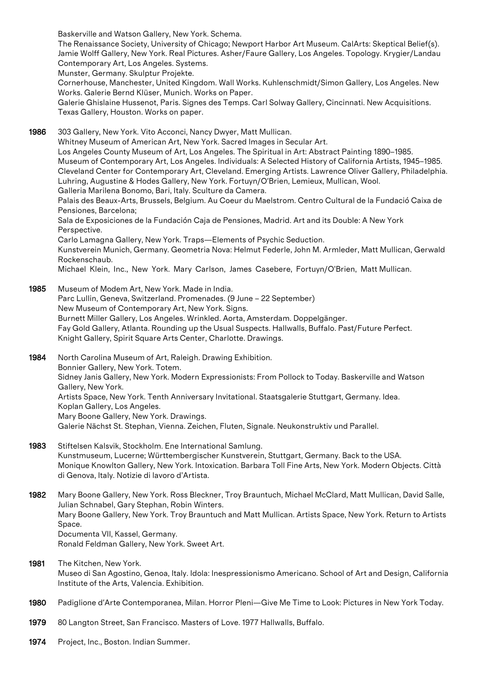Baskerville and Watson Gallery, New York. Schema.

The Renaissance Society, University of Chicago; Newport Harbor Art Museum. CalArts: Skeptical Belief(s). Jamie Wolff Gallery, New York. Real Pictures. Asher/Faure Gallery, Los Angeles. Topology. Krygier/Landau Contemporary Art, Los Angeles. Systems.

Munster, Germany. Skulptur Projekte.

Cornerhouse, Manchester, United Kingdom. Wall Works. Kuhlenschmidt/Simon Gallery, Los Angeles. New Works. Galerie Bernd Klüser, Munich. Works on Paper.

Galerie Ghislaine Hussenot, Paris. Signes des Temps. Carl Solway Gallery, Cincinnati. New Acquisitions. Texas Gallery, Houston. Works on paper.

1986 303 Gallery, New York. Vito Acconci, Nancy Dwyer, Matt Mullican.

Whitney Museum of American Art, New York. Sacred Images in Secular Art. Los Angeles County Museum of Art, Los Angeles. The Spiritual in Art: Abstract Painting 1890–1985.

Museum of Contemporary Art, Los Angeles. Individuals: A Selected History of California Artists, 1945–1985. Cleveland Center for Contemporary Art, Cleveland. Emerging Artists. Lawrence Oliver Gallery, Philadelphia. Luhring, Augustine & Hodes Gallery, New York. Fortuyn/O'Brien, Lemieux, Mullican, Wool. Galleria Marilena Bonomo, Bari, Italy. Sculture da Camera.

Palais des Beaux-Arts, Brussels, Belgium. Au Coeur du Maelstrom. Centro Cultural de la Fundació Caixa de Pensiones, Barcelona;

Sala de Exposiciones de la Fundación Caja de Pensiones, Madrid. Art and its Double: A New York Perspective.

Carlo Lamagna Gallery, New York. Traps—Elements of Psychic Seduction.

Kunstverein Munich, Germany. Geometria Nova: Helmut Federle, John M. Armleder, Matt Mullican, Gerwald Rockenschaub.

Michael Klein, Inc., New York. Mary Carlson, James Casebere, Fortuyn/O'Brien, Matt Mullican.

- 1985 Museum of Modem Art, New York. Made in India. Parc Lullin, Geneva, Switzerland. Promenades. (9 June – 22 September) New Museum of Contemporary Art, New York. Signs. Burnett Miller Gallery, Los Angeles. Wrinkled. Aorta, Amsterdam. Doppelgänger. Fay Gold Gallery, Atlanta. Rounding up the Usual Suspects. Hallwalls, Buffalo. Past/Future Perfect. Knight Gallery, Spirit Square Arts Center, Charlotte. Drawings.
- 1984 North Carolina Museum of Art, Raleigh. Drawing Exhibition. Bonnier Gallery, New York. Totem. Sidney Janis Gallery, New York. Modern Expressionists: From Pollock to Today. Baskerville and Watson Gallery, New York. Artists Space, New York. Tenth Anniversary Invitational. Staatsgalerie Stuttgart, Germany. Idea. Koplan Gallery, Los Angeles. Mary Boone Gallery, New York. Drawings. Galerie Nächst St. Stephan, Vienna. Zeichen, Fluten, Signale. Neukonstruktiv und Parallel.
- 1983 Stiftelsen Kalsvik, Stockholm. Ene International Samlung. Kunstmuseum, Lucerne; Württembergischer Kunstverein, Stuttgart, Germany. Back to the USA. Monique Knowlton Gallery, New York. Intoxication. Barbara Toll Fine Arts, New York. Modern Objects. Città di Genova, Italy. Notizie di lavoro d'Artista.
- 1982 Mary Boone Gallery, New York. Ross Bleckner, Troy Brauntuch, Michael McClard, Matt Mullican, David Salle, Julian Schnabel, Gary Stephan, Robin Winters. Mary Boone Gallery, New York. Troy Brauntuch and Matt Mullican. Artists Space, New York. Return to Artists Space. Documenta VII, Kassel, Germany. Ronald Feldman Gallery, New York. Sweet Art.
- 1981 The Kitchen, New York. Museo di San Agostino, Genoa, Italy. Idola: Inespressionismo Americano. School of Art and Design, California Institute of the Arts, Valencia. Exhibition.
- 1980 Padiglione d'Arte Contemporanea, Milan. Horror Pleni—Give Me Time to Look: Pictures in New York Today.
- 1979 80 Langton Street, San Francisco. Masters of Love. 1977 Hallwalls, Buffalo.
- 1974 Project, Inc., Boston. Indian Summer.